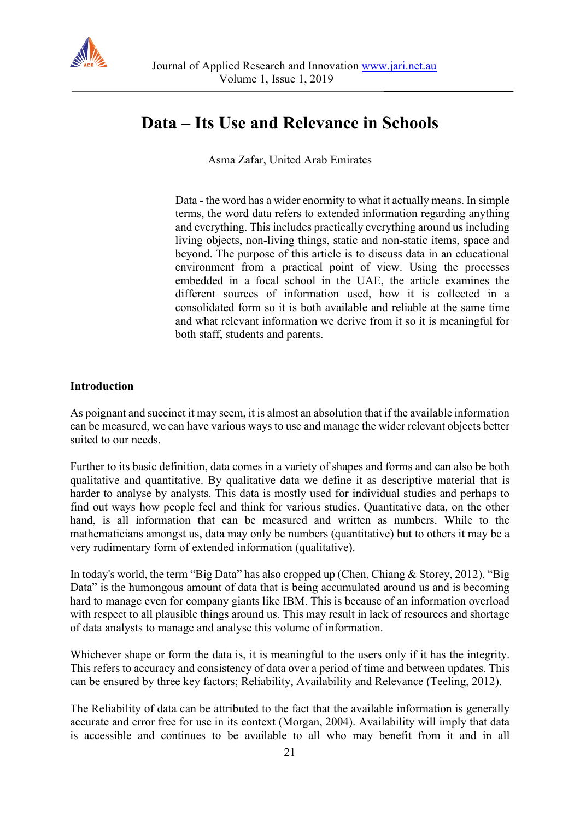

# **Data – Its Use and Relevance in Schools**

Asma Zafar, United Arab Emirates

Data - the word has a wider enormity to what it actually means. In simple terms, the word data refers to extended information regarding anything and everything. This includes practically everything around us including living objects, non-living things, static and non-static items, space and beyond. The purpose of this article is to discuss data in an educational environment from a practical point of view. Using the processes embedded in a focal school in the UAE, the article examines the different sources of information used, how it is collected in a consolidated form so it is both available and reliable at the same time and what relevant information we derive from it so it is meaningful for both staff, students and parents.

#### **Introduction**

As poignant and succinct it may seem, it is almost an absolution that if the available information can be measured, we can have various ways to use and manage the wider relevant objects better suited to our needs.

Further to its basic definition, data comes in a variety of shapes and forms and can also be both qualitative and quantitative. By qualitative data we define it as descriptive material that is harder to analyse by analysts. This data is mostly used for individual studies and perhaps to find out ways how people feel and think for various studies. Quantitative data, on the other hand, is all information that can be measured and written as numbers. While to the mathematicians amongst us, data may only be numbers (quantitative) but to others it may be a very rudimentary form of extended information (qualitative).

In today's world, the term "Big Data" has also cropped up (Chen, Chiang & Storey, 2012). "Big Data" is the humongous amount of data that is being accumulated around us and is becoming hard to manage even for company giants like IBM. This is because of an information overload with respect to all plausible things around us. This may result in lack of resources and shortage of data analysts to manage and analyse this volume of information.

Whichever shape or form the data is, it is meaningful to the users only if it has the integrity. This refers to accuracy and consistency of data over a period of time and between updates. This can be ensured by three key factors; Reliability, Availability and Relevance (Teeling, 2012).

The Reliability of data can be attributed to the fact that the available information is generally accurate and error free for use in its context (Morgan, 2004). Availability will imply that data is accessible and continues to be available to all who may benefit from it and in all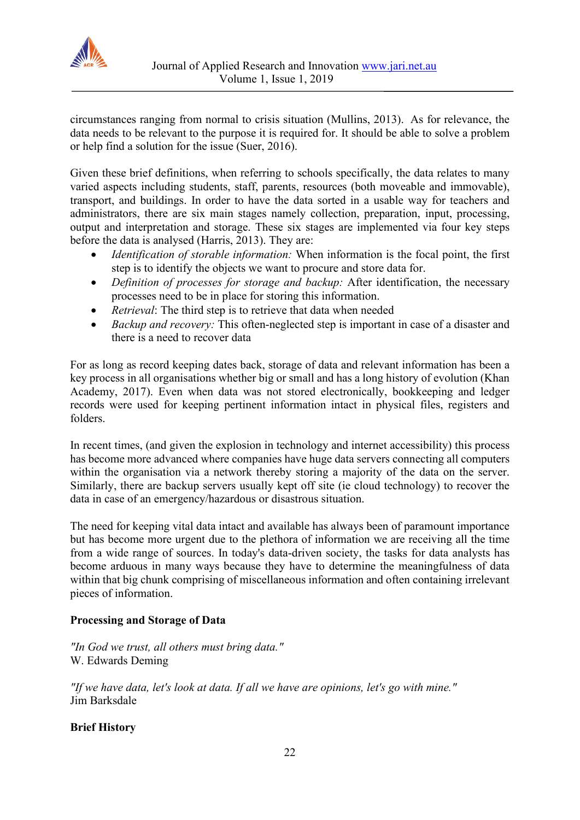

circumstances ranging from normal to crisis situation (Mullins, 2013). As for relevance, the data needs to be relevant to the purpose it is required for. It should be able to solve a problem or help find a solution for the issue (Suer, 2016).

Given these brief definitions, when referring to schools specifically, the data relates to many varied aspects including students, staff, parents, resources (both moveable and immovable), transport, and buildings. In order to have the data sorted in a usable way for teachers and administrators, there are six main stages namely collection, preparation, input, processing, output and interpretation and storage. These six stages are implemented via four key steps before the data is analysed (Harris, 2013). They are:

- *Identification of storable information:* When information is the focal point, the first step is to identify the objects we want to procure and store data for.
- *Definition of processes for storage and backup:* After identification, the necessary processes need to be in place for storing this information.
- *Retrieval*: The third step is to retrieve that data when needed
- *Backup and recovery:* This often-neglected step is important in case of a disaster and there is a need to recover data

For as long as record keeping dates back, storage of data and relevant information has been a key process in all organisations whether big or small and has a long history of evolution (Khan Academy, 2017). Even when data was not stored electronically, bookkeeping and ledger records were used for keeping pertinent information intact in physical files, registers and folders.

In recent times, (and given the explosion in technology and internet accessibility) this process has become more advanced where companies have huge data servers connecting all computers within the organisation via a network thereby storing a majority of the data on the server. Similarly, there are backup servers usually kept off site (ie cloud technology) to recover the data in case of an emergency/hazardous or disastrous situation.

The need for keeping vital data intact and available has always been of paramount importance but has become more urgent due to the plethora of information we are receiving all the time from a wide range of sources. In today's data-driven society, the tasks for data analysts has become arduous in many ways because they have to determine the meaningfulness of data within that big chunk comprising of miscellaneous information and often containing irrelevant pieces of information.

# **Processing and Storage of Data**

*"In God we trust, all others must bring data."* W. Edwards Deming

*"If we have data, let's look at data. If all we have are opinions, let's go with mine."* Jim Barksdale

# **Brief History**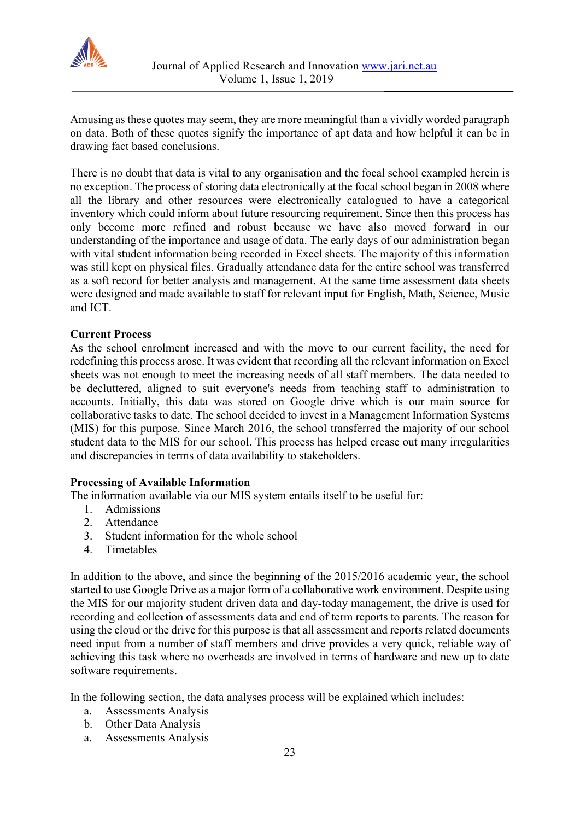

Amusing as these quotes may seem, they are more meaningful than a vividly worded paragraph on data. Both of these quotes signify the importance of apt data and how helpful it can be in drawing fact based conclusions.

There is no doubt that data is vital to any organisation and the focal school exampled herein is no exception. The process of storing data electronically at the focal school began in 2008 where all the library and other resources were electronically catalogued to have a categorical inventory which could inform about future resourcing requirement. Since then this process has only become more refined and robust because we have also moved forward in our understanding of the importance and usage of data. The early days of our administration began with vital student information being recorded in Excel sheets. The majority of this information was still kept on physical files. Gradually attendance data for the entire school was transferred as a soft record for better analysis and management. At the same time assessment data sheets were designed and made available to staff for relevant input for English, Math, Science, Music and ICT.

## **Current Process**

As the school enrolment increased and with the move to our current facility, the need for redefining this process arose. It was evident that recording all the relevant information on Excel sheets was not enough to meet the increasing needs of all staff members. The data needed to be decluttered, aligned to suit everyone's needs from teaching staff to administration to accounts. Initially, this data was stored on Google drive which is our main source for collaborative tasks to date. The school decided to invest in a Management Information Systems (MIS) for this purpose. Since March 2016, the school transferred the majority of our school student data to the MIS for our school. This process has helped crease out many irregularities and discrepancies in terms of data availability to stakeholders.

#### **Processing of Available Information**

The information available via our MIS system entails itself to be useful for:

- 1. Admissions
- 2. Attendance
- 3. Student information for the whole school
- 4. Timetables

In addition to the above, and since the beginning of the 2015/2016 academic year, the school started to use Google Drive as a major form of a collaborative work environment. Despite using the MIS for our majority student driven data and day-today management, the drive is used for recording and collection of assessments data and end of term reports to parents. The reason for using the cloud or the drive for this purpose is that all assessment and reports related documents need input from a number of staff members and drive provides a very quick, reliable way of achieving this task where no overheads are involved in terms of hardware and new up to date software requirements.

In the following section, the data analyses process will be explained which includes:

- a. Assessments Analysis
- b. Other Data Analysis
- a. Assessments Analysis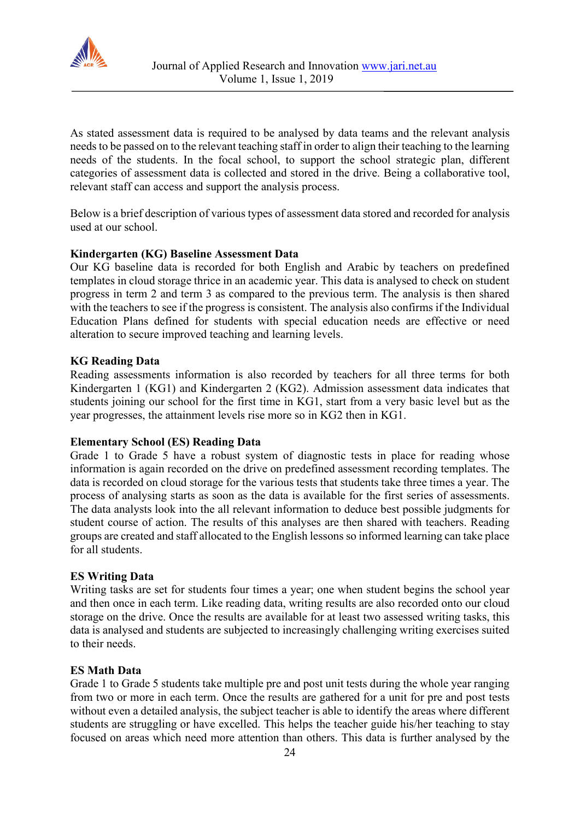

As stated assessment data is required to be analysed by data teams and the relevant analysis needs to be passed on to the relevant teaching staff in order to align their teaching to the learning needs of the students. In the focal school, to support the school strategic plan, different categories of assessment data is collected and stored in the drive. Being a collaborative tool, relevant staff can access and support the analysis process.

Below is a brief description of various types of assessment data stored and recorded for analysis used at our school.

## **Kindergarten (KG) Baseline Assessment Data**

Our KG baseline data is recorded for both English and Arabic by teachers on predefined templates in cloud storage thrice in an academic year. This data is analysed to check on student progress in term 2 and term 3 as compared to the previous term. The analysis is then shared with the teachers to see if the progress is consistent. The analysis also confirms if the Individual Education Plans defined for students with special education needs are effective or need alteration to secure improved teaching and learning levels.

## **KG Reading Data**

Reading assessments information is also recorded by teachers for all three terms for both Kindergarten 1 (KG1) and Kindergarten 2 (KG2). Admission assessment data indicates that students joining our school for the first time in KG1, start from a very basic level but as the year progresses, the attainment levels rise more so in KG2 then in KG1.

#### **Elementary School (ES) Reading Data**

Grade 1 to Grade 5 have a robust system of diagnostic tests in place for reading whose information is again recorded on the drive on predefined assessment recording templates. The data is recorded on cloud storage for the various tests that students take three times a year. The process of analysing starts as soon as the data is available for the first series of assessments. The data analysts look into the all relevant information to deduce best possible judgments for student course of action. The results of this analyses are then shared with teachers. Reading groups are created and staff allocated to the English lessons so informed learning can take place for all students.

#### **ES Writing Data**

Writing tasks are set for students four times a year; one when student begins the school year and then once in each term. Like reading data, writing results are also recorded onto our cloud storage on the drive. Once the results are available for at least two assessed writing tasks, this data is analysed and students are subjected to increasingly challenging writing exercises suited to their needs.

#### **ES Math Data**

Grade 1 to Grade 5 students take multiple pre and post unit tests during the whole year ranging from two or more in each term. Once the results are gathered for a unit for pre and post tests without even a detailed analysis, the subject teacher is able to identify the areas where different students are struggling or have excelled. This helps the teacher guide his/her teaching to stay focused on areas which need more attention than others. This data is further analysed by the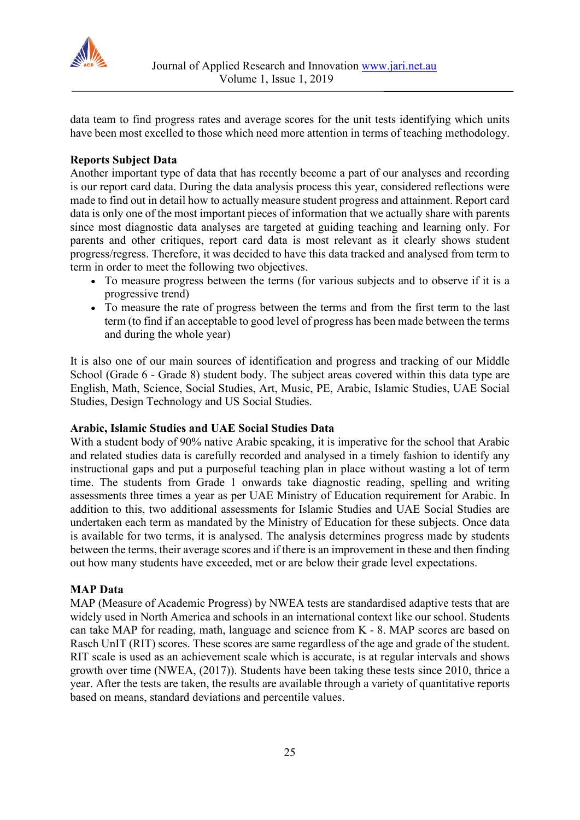

data team to find progress rates and average scores for the unit tests identifying which units have been most excelled to those which need more attention in terms of teaching methodology.

## **Reports Subject Data**

Another important type of data that has recently become a part of our analyses and recording is our report card data. During the data analysis process this year, considered reflections were made to find out in detail how to actually measure student progress and attainment. Report card data is only one of the most important pieces of information that we actually share with parents since most diagnostic data analyses are targeted at guiding teaching and learning only. For parents and other critiques, report card data is most relevant as it clearly shows student progress/regress. Therefore, it was decided to have this data tracked and analysed from term to term in order to meet the following two objectives.

- To measure progress between the terms (for various subjects and to observe if it is a progressive trend)
- To measure the rate of progress between the terms and from the first term to the last term (to find if an acceptable to good level of progress has been made between the terms and during the whole year)

It is also one of our main sources of identification and progress and tracking of our Middle School (Grade 6 - Grade 8) student body. The subject areas covered within this data type are English, Math, Science, Social Studies, Art, Music, PE, Arabic, Islamic Studies, UAE Social Studies, Design Technology and US Social Studies.

## **Arabic, Islamic Studies and UAE Social Studies Data**

With a student body of 90% native Arabic speaking, it is imperative for the school that Arabic and related studies data is carefully recorded and analysed in a timely fashion to identify any instructional gaps and put a purposeful teaching plan in place without wasting a lot of term time. The students from Grade 1 onwards take diagnostic reading, spelling and writing assessments three times a year as per UAE Ministry of Education requirement for Arabic. In addition to this, two additional assessments for Islamic Studies and UAE Social Studies are undertaken each term as mandated by the Ministry of Education for these subjects. Once data is available for two terms, it is analysed. The analysis determines progress made by students between the terms, their average scores and if there is an improvement in these and then finding out how many students have exceeded, met or are below their grade level expectations.

#### **MAP Data**

MAP (Measure of Academic Progress) by NWEA tests are standardised adaptive tests that are widely used in North America and schools in an international context like our school. Students can take MAP for reading, math, language and science from K - 8. MAP scores are based on Rasch UnIT (RIT) scores. These scores are same regardless of the age and grade of the student. RIT scale is used as an achievement scale which is accurate, is at regular intervals and shows growth over time (NWEA, (2017)). Students have been taking these tests since 2010, thrice a year. After the tests are taken, the results are available through a variety of quantitative reports based on means, standard deviations and percentile values.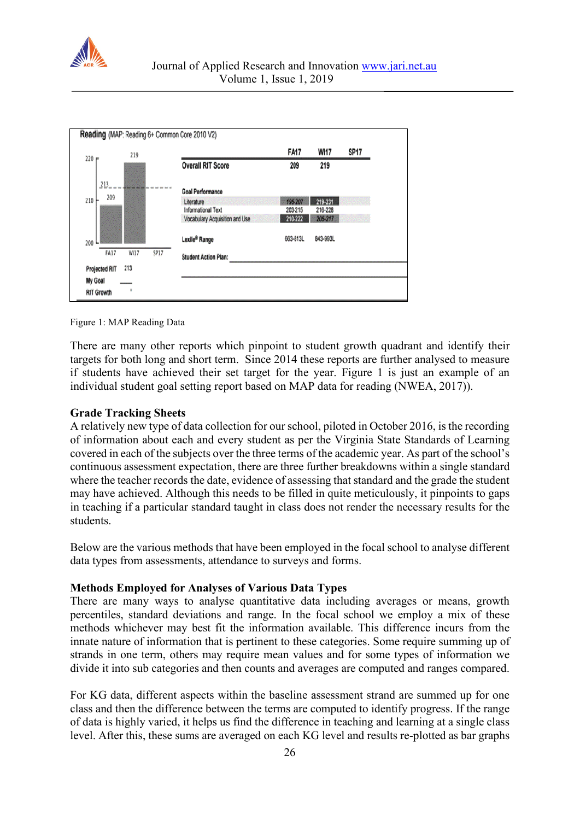



Figure 1: MAP Reading Data

There are many other reports which pinpoint to student growth quadrant and identify their targets for both long and short term. Since 2014 these reports are further analysed to measure if students have achieved their set target for the year. Figure 1 is just an example of an individual student goal setting report based on MAP data for reading (NWEA, 2017)).

#### **Grade Tracking Sheets**

A relatively new type of data collection for our school, piloted in October 2016, is the recording of information about each and every student as per the Virginia State Standards of Learning covered in each of the subjects over the three terms of the academic year. As part of the school's continuous assessment expectation, there are three further breakdowns within a single standard where the teacher records the date, evidence of assessing that standard and the grade the student may have achieved. Although this needs to be filled in quite meticulously, it pinpoints to gaps in teaching if a particular standard taught in class does not render the necessary results for the students.

Below are the various methods that have been employed in the focal school to analyse different data types from assessments, attendance to surveys and forms.

## **Methods Employed for Analyses of Various Data Types**

There are many ways to analyse quantitative data including averages or means, growth percentiles, standard deviations and range. In the focal school we employ a mix of these methods whichever may best fit the information available. This difference incurs from the innate nature of information that is pertinent to these categories. Some require summing up of strands in one term, others may require mean values and for some types of information we divide it into sub categories and then counts and averages are computed and ranges compared.

For KG data, different aspects within the baseline assessment strand are summed up for one class and then the difference between the terms are computed to identify progress. If the range of data is highly varied, it helps us find the difference in teaching and learning at a single class level. After this, these sums are averaged on each KG level and results re-plotted as bar graphs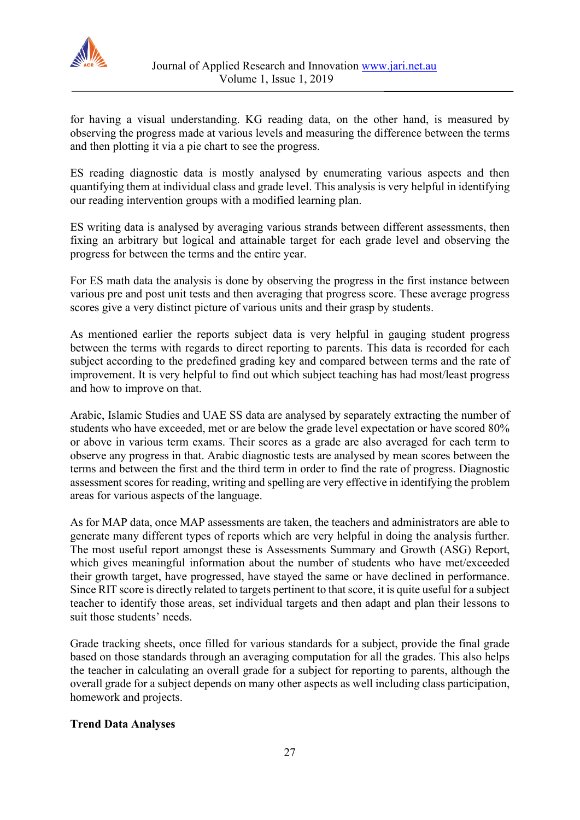

for having a visual understanding. KG reading data, on the other hand, is measured by observing the progress made at various levels and measuring the difference between the terms and then plotting it via a pie chart to see the progress.

ES reading diagnostic data is mostly analysed by enumerating various aspects and then quantifying them at individual class and grade level. This analysis is very helpful in identifying our reading intervention groups with a modified learning plan.

ES writing data is analysed by averaging various strands between different assessments, then fixing an arbitrary but logical and attainable target for each grade level and observing the progress for between the terms and the entire year.

For ES math data the analysis is done by observing the progress in the first instance between various pre and post unit tests and then averaging that progress score. These average progress scores give a very distinct picture of various units and their grasp by students.

As mentioned earlier the reports subject data is very helpful in gauging student progress between the terms with regards to direct reporting to parents. This data is recorded for each subject according to the predefined grading key and compared between terms and the rate of improvement. It is very helpful to find out which subject teaching has had most/least progress and how to improve on that.

Arabic, Islamic Studies and UAE SS data are analysed by separately extracting the number of students who have exceeded, met or are below the grade level expectation or have scored 80% or above in various term exams. Their scores as a grade are also averaged for each term to observe any progress in that. Arabic diagnostic tests are analysed by mean scores between the terms and between the first and the third term in order to find the rate of progress. Diagnostic assessment scores for reading, writing and spelling are very effective in identifying the problem areas for various aspects of the language.

As for MAP data, once MAP assessments are taken, the teachers and administrators are able to generate many different types of reports which are very helpful in doing the analysis further. The most useful report amongst these is Assessments Summary and Growth (ASG) Report, which gives meaningful information about the number of students who have met/exceeded their growth target, have progressed, have stayed the same or have declined in performance. Since RIT score is directly related to targets pertinent to that score, it is quite useful for a subject teacher to identify those areas, set individual targets and then adapt and plan their lessons to suit those students' needs.

Grade tracking sheets, once filled for various standards for a subject, provide the final grade based on those standards through an averaging computation for all the grades. This also helps the teacher in calculating an overall grade for a subject for reporting to parents, although the overall grade for a subject depends on many other aspects as well including class participation, homework and projects.

## **Trend Data Analyses**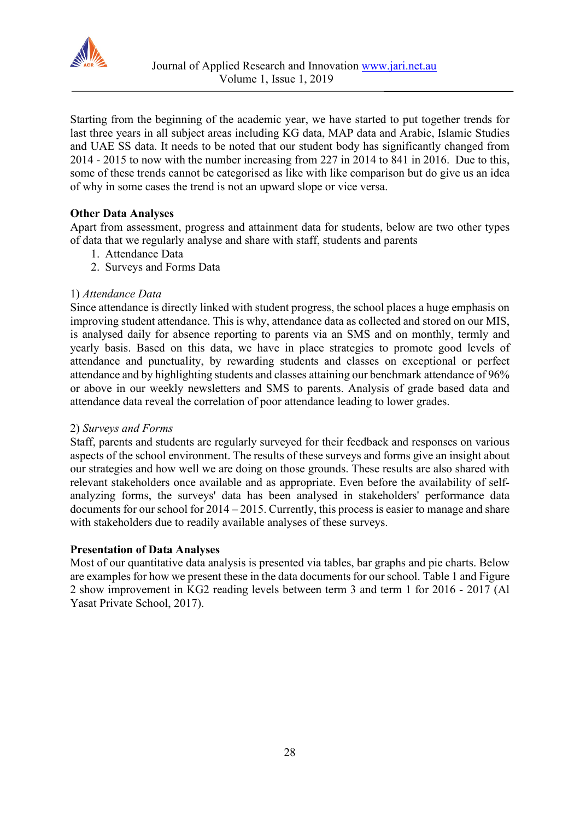

Starting from the beginning of the academic year, we have started to put together trends for last three years in all subject areas including KG data, MAP data and Arabic, Islamic Studies and UAE SS data. It needs to be noted that our student body has significantly changed from 2014 - 2015 to now with the number increasing from 227 in 2014 to 841 in 2016. Due to this, some of these trends cannot be categorised as like with like comparison but do give us an idea of why in some cases the trend is not an upward slope or vice versa.

## **Other Data Analyses**

Apart from assessment, progress and attainment data for students, below are two other types of data that we regularly analyse and share with staff, students and parents

- 1. Attendance Data
- 2. Surveys and Forms Data

#### 1) *Attendance Data*

Since attendance is directly linked with student progress, the school places a huge emphasis on improving student attendance. This is why, attendance data as collected and stored on our MIS, is analysed daily for absence reporting to parents via an SMS and on monthly, termly and yearly basis. Based on this data, we have in place strategies to promote good levels of attendance and punctuality, by rewarding students and classes on exceptional or perfect attendance and by highlighting students and classes attaining our benchmark attendance of 96% or above in our weekly newsletters and SMS to parents. Analysis of grade based data and attendance data reveal the correlation of poor attendance leading to lower grades.

#### 2) *Surveys and Forms*

Staff, parents and students are regularly surveyed for their feedback and responses on various aspects of the school environment. The results of these surveys and forms give an insight about our strategies and how well we are doing on those grounds. These results are also shared with relevant stakeholders once available and as appropriate. Even before the availability of selfanalyzing forms, the surveys' data has been analysed in stakeholders' performance data documents for our school for 2014 – 2015. Currently, this process is easier to manage and share with stakeholders due to readily available analyses of these surveys.

#### **Presentation of Data Analyses**

Most of our quantitative data analysis is presented via tables, bar graphs and pie charts. Below are examples for how we present these in the data documents for our school. Table 1 and Figure 2 show improvement in KG2 reading levels between term 3 and term 1 for 2016 - 2017 (Al Yasat Private School, 2017).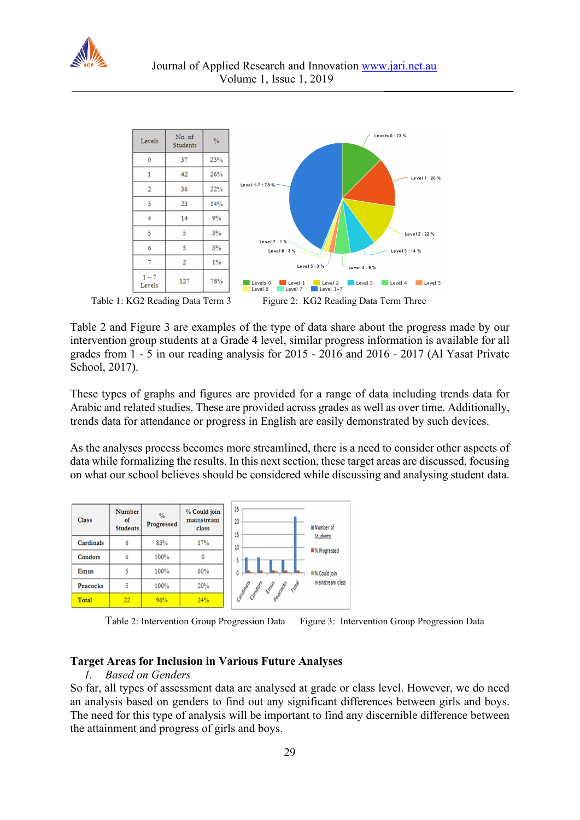



Table 2 and Figure 3 are examples of the type of data share about the progress made by our intervention group students at a Grade 4 level, similar progress information is available for all grades from 1 - 5 in our reading analysis for 2015 - 2016 and 2016 - 2017 (Al Yasat Private School, 2017).

These types of graphs and figures are provided for a range of data including trends data for Arabic and related studies. These are provided across grades as well as over time. Additionally, trends data for attendance or progress in English are easily demonstrated by such devices.

As the analyses process becomes more streamlined, there is a need to consider other aspects of data while formalizing the results. In this next section, these target areas are discussed, focusing on what our school believes should be considered while discussing and analysing student data.



Table 2: Intervention Group Progression Data Figure 3: Intervention Group Progression Data

## **Target Areas for Inclusion in Various Future Analyses**

#### *1. Based on Genders*

So far, all types of assessment data are analysed at grade or class level. However, we do need an analysis based on genders to find out any significant differences between girls and boys. The need for this type of analysis will be important to find any discernible difference between the attainment and progress of girls and boys.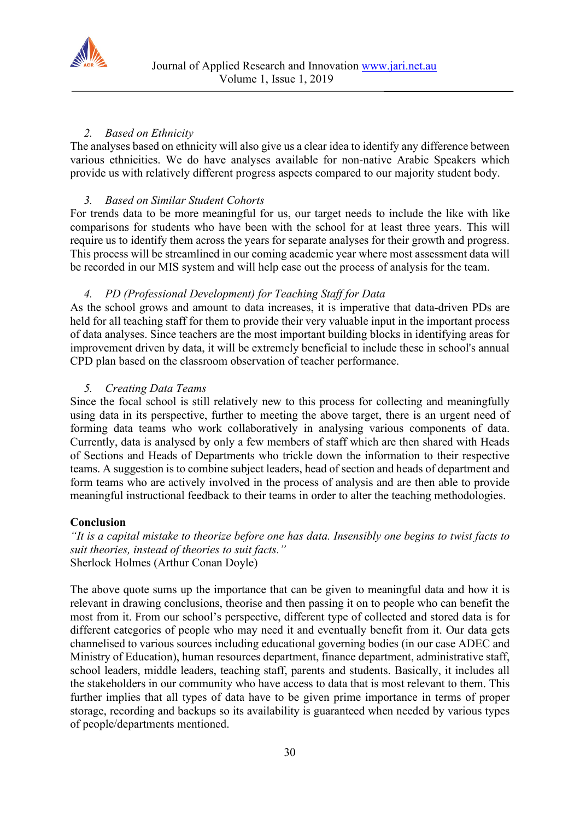

## *2. Based on Ethnicity*

The analyses based on ethnicity will also give us a clear idea to identify any difference between various ethnicities. We do have analyses available for non-native Arabic Speakers which provide us with relatively different progress aspects compared to our majority student body.

## *3. Based on Similar Student Cohorts*

For trends data to be more meaningful for us, our target needs to include the like with like comparisons for students who have been with the school for at least three years. This will require us to identify them across the years for separate analyses for their growth and progress. This process will be streamlined in our coming academic year where most assessment data will be recorded in our MIS system and will help ease out the process of analysis for the team.

## *4. PD (Professional Development) for Teaching Staff for Data*

As the school grows and amount to data increases, it is imperative that data-driven PDs are held for all teaching staff for them to provide their very valuable input in the important process of data analyses. Since teachers are the most important building blocks in identifying areas for improvement driven by data, it will be extremely beneficial to include these in school's annual CPD plan based on the classroom observation of teacher performance.

## *5. Creating Data Teams*

Since the focal school is still relatively new to this process for collecting and meaningfully using data in its perspective, further to meeting the above target, there is an urgent need of forming data teams who work collaboratively in analysing various components of data. Currently, data is analysed by only a few members of staff which are then shared with Heads of Sections and Heads of Departments who trickle down the information to their respective teams. A suggestion is to combine subject leaders, head of section and heads of department and form teams who are actively involved in the process of analysis and are then able to provide meaningful instructional feedback to their teams in order to alter the teaching methodologies.

#### **Conclusion**

*"It is a capital mistake to theorize before one has data. Insensibly one begins to twist facts to suit theories, instead of theories to suit facts."* Sherlock Holmes (Arthur Conan Doyle)

The above quote sums up the importance that can be given to meaningful data and how it is relevant in drawing conclusions, theorise and then passing it on to people who can benefit the most from it. From our school's perspective, different type of collected and stored data is for different categories of people who may need it and eventually benefit from it. Our data gets channelised to various sources including educational governing bodies (in our case ADEC and Ministry of Education), human resources department, finance department, administrative staff, school leaders, middle leaders, teaching staff, parents and students. Basically, it includes all the stakeholders in our community who have access to data that is most relevant to them. This further implies that all types of data have to be given prime importance in terms of proper storage, recording and backups so its availability is guaranteed when needed by various types of people/departments mentioned.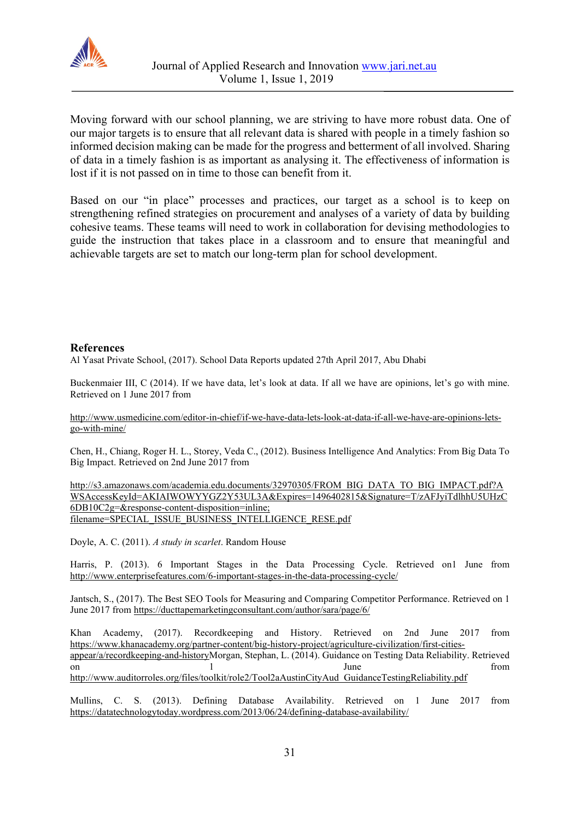

Moving forward with our school planning, we are striving to have more robust data. One of our major targets is to ensure that all relevant data is shared with people in a timely fashion so informed decision making can be made for the progress and betterment of all involved. Sharing of data in a timely fashion is as important as analysing it. The effectiveness of information is lost if it is not passed on in time to those can benefit from it.

Based on our "in place" processes and practices, our target as a school is to keep on strengthening refined strategies on procurement and analyses of a variety of data by building cohesive teams. These teams will need to work in collaboration for devising methodologies to guide the instruction that takes place in a classroom and to ensure that meaningful and achievable targets are set to match our long-term plan for school development.

#### **References**

Al Yasat Private School, (2017). School Data Reports updated 27th April 2017, Abu Dhabi

Buckenmaier III, C (2014). If we have data, let's look at data. If all we have are opinions, let's go with mine. Retrieved on 1 June 2017 from

[http://www.usmedicine.com/editor-in-chief/if-we-have-data-lets-look-at-data-if-all-we-have-are-opinions-lets](http://www.usmedicine.com/editor-in-chief/if-we-have-data-lets-look-at-data-if-all-we-have-are-opinions-lets-go-with-mine/)[go-with-mine/](http://www.usmedicine.com/editor-in-chief/if-we-have-data-lets-look-at-data-if-all-we-have-are-opinions-lets-go-with-mine/)

Chen, H., Chiang, Roger H. L., Storey, Veda C., (2012). Business Intelligence And Analytics: From Big Data To Big Impact. Retrieved on 2nd June 2017 from

http://s3.amazonaws.com/academia.edu.documents/32970305/FROM\_BIG\_DATA\_TO\_BIG\_IMPACT.pdf?A WSAccessKeyId=AKIAIWOWYYGZ2Y53UL3A&Expires=1496402815&Signature=T/zAFJyiTdlhhU5UHzC 6DB10C2g=&response-content-disposition=inline; filename=SPECIAL\_ISSUE\_BUSINESS\_INTELLIGENCE\_RESE.pdf

Doyle, A. C. (2011). *A study in scarlet*. Random House

Harris, P. (2013). 6 Important Stages in the Data Processing Cycle. Retrieved on1 June from <http://www.enterprisefeatures.com/6-important-stages-in-the-data-processing-cycle/>

Jantsch, S., (2017). The Best SEO Tools for Measuring and Comparing Competitor Performance. Retrieved on 1 June 2017 from<https://ducttapemarketingconsultant.com/author/sara/page/6/>

Khan Academy, (2017). Recordkeeping and History. Retrieved on 2nd June 2017 from [https://www.khanacademy.org/partner-content/big-history-project/agriculture-civilization/first-cities](https://www.khanacademy.org/partner-content/big-history-project/agriculture-civilization/first-cities-appear/a/recordkeeping-and-history)[appear/a/recordkeeping-and-historyM](https://www.khanacademy.org/partner-content/big-history-project/agriculture-civilization/first-cities-appear/a/recordkeeping-and-history)organ, Stephan, L. (2014). Guidance on Testing Data Reliability. Retrieved on 1 June 5 and 1 June 5 and 1 June 5 and 1 and 1 and 1 and 1 and 1 and 1 and 1 and 1 and 1 and 1 and 1 and 1 and 1 and 1 and 1 and 1 and 1 and 1 and 1 and 1 and 1 and 1 and 1 and 1 and 1 and 1 and 1 and 1 and 1 and 1 and [http://www.auditorroles.org/files/toolkit/role2/Tool2aAustinCityAud\\_GuidanceTestingReliability.pdf](http://www.auditorroles.org/files/toolkit/role2/Tool2aAustinCityAud_GuidanceTestingReliability.pdf)

Mullins, C. S. (2013). Defining Database Availability. Retrieved on 1 June 2017 from <https://datatechnologytoday.wordpress.com/2013/06/24/defining-database-availability/>